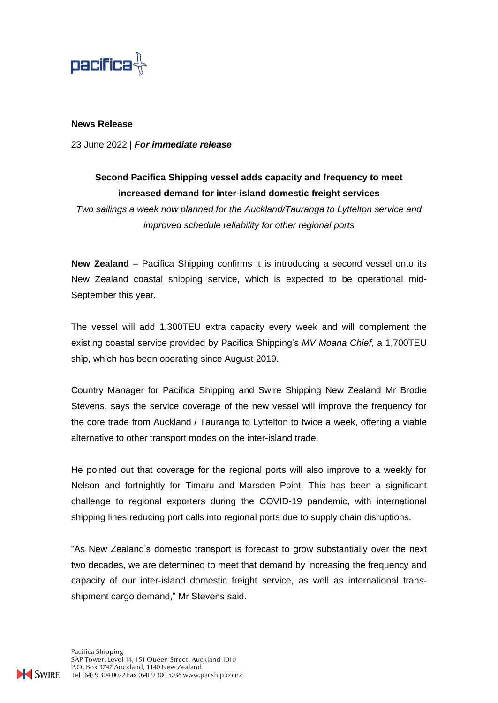

## **News Release**

23 June 2022 | *For immediate release*

## **Second Pacifica Shipping vessel adds capacity and frequency to meet increased demand for inter-island domestic freight services**

*Two sailings a week now planned for the Auckland/Tauranga to Lyttelton service and improved schedule reliability for other regional ports*

**New Zealand** – Pacifica Shipping confirms it is introducing a second vessel onto its New Zealand coastal shipping service, which is expected to be operational mid-September this year.

The vessel will add 1,300TEU extra capacity every week and will complement the existing coastal service provided by Pacifica Shipping's *MV Moana Chief*, a 1,700TEU ship, which has been operating since August 2019.

Country Manager for Pacifica Shipping and Swire Shipping New Zealand Mr Brodie Stevens, says the service coverage of the new vessel will improve the frequency for the core trade from Auckland / Tauranga to Lyttelton to twice a week, offering a viable alternative to other transport modes on the inter-island trade.

He pointed out that coverage for the regional ports will also improve to a weekly for Nelson and fortnightly for Timaru and Marsden Point. This has been a significant challenge to regional exporters during the COVID-19 pandemic, with international shipping lines reducing port calls into regional ports due to supply chain disruptions.

"As New Zealand's domestic transport is forecast to grow substantially over the next two decades, we are determined to meet that demand by increasing the frequency and capacity of our inter-island domestic freight service, as well as international transshipment cargo demand," Mr Stevens said.

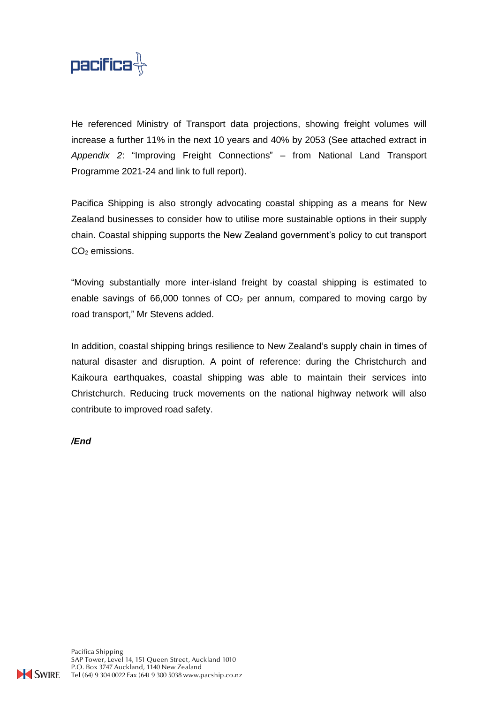

He referenced Ministry of Transport data projections, showing freight volumes will increase a further 11% in the next 10 years and 40% by 2053 (See attached extract in *Appendix 2*: "Improving Freight Connections" – from National Land Transport Programme 2021-24 and link to full report).

Pacifica Shipping is also strongly advocating coastal shipping as a means for New Zealand businesses to consider how to utilise more sustainable options in their supply chain. Coastal shipping supports the New Zealand government's policy to cut transport  $CO<sub>2</sub>$  emissions.

"Moving substantially more inter-island freight by coastal shipping is estimated to enable savings of 66,000 tonnes of  $CO<sub>2</sub>$  per annum, compared to moving cargo by road transport," Mr Stevens added.

In addition, coastal shipping brings resilience to New Zealand's supply chain in times of natural disaster and disruption. A point of reference: during the Christchurch and Kaikoura earthquakes, coastal shipping was able to maintain their services into Christchurch. Reducing truck movements on the national highway network will also contribute to improved road safety.

*/End*

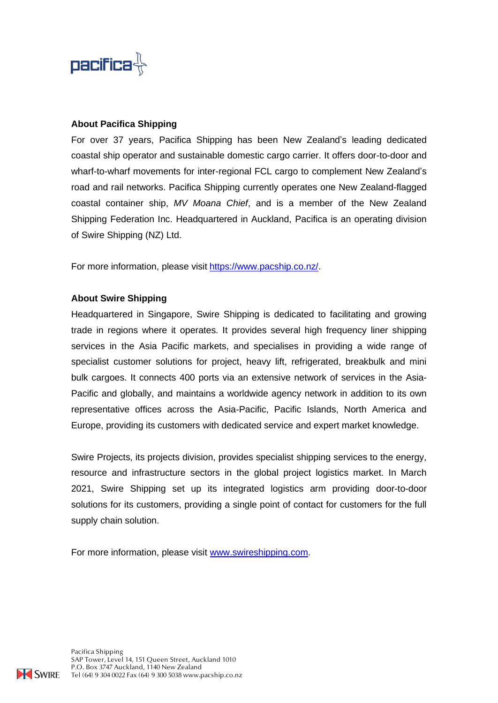

### **About Pacifica Shipping**

For over 37 years, Pacifica Shipping has been New Zealand's leading dedicated coastal ship operator and sustainable domestic cargo carrier. It offers door-to-door and wharf-to-wharf movements for inter-regional FCL cargo to complement New Zealand's road and rail networks. Pacifica Shipping currently operates one New Zealand-flagged coastal container ship, *MV Moana Chief*, and is a member of the New Zealand Shipping Federation Inc. Headquartered in Auckland, Pacifica is an operating division of Swire Shipping (NZ) Ltd.

For more information, please visit [https://www.pacship.co.nz/.](https://www.pacship.co.nz/)

### **About Swire Shipping**

Headquartered in Singapore, Swire Shipping is dedicated to facilitating and growing trade in regions where it operates. It provides several high frequency liner shipping services in the Asia Pacific markets, and specialises in providing a wide range of specialist customer solutions for project, heavy lift, refrigerated, breakbulk and mini bulk cargoes. It connects 400 ports via an extensive network of services in the Asia-Pacific and globally, and maintains a worldwide agency network in addition to its own representative offices across the Asia-Pacific, Pacific Islands, North America and Europe, providing its customers with dedicated service and expert market knowledge.

Swire Projects, its projects division, provides specialist shipping services to the energy, resource and infrastructure sectors in the global project logistics market. In March 2021, Swire Shipping set up its integrated logistics arm providing door-to-door solutions for its customers, providing a single point of contact for customers for the full supply chain solution.

For more information, please visit [www.swireshipping.com.](http://www.swireshipping.com/)

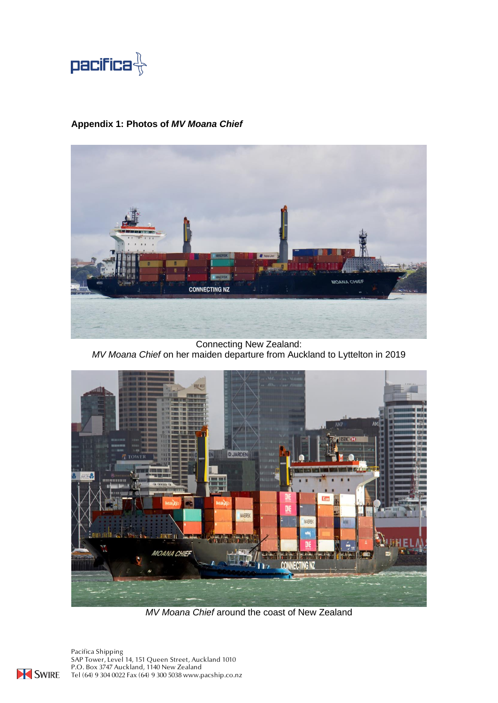

## **Appendix 1: Photos of** *MV Moana Chief*



Connecting New Zealand: *MV Moana Chief* on her maiden departure from Auckland to Lyttelton in 2019



*MV Moana Chief* around the coast of New Zealand

Pacifica Shipping SAP Tower, Level 14, 151 Queen Street, Auckland 1010 P.O. Box 3747 Auckland, 1140 New Zealand Tel (64) 9 304 0022 Fax (64) 9 300 5038 www.pacship.co.nz

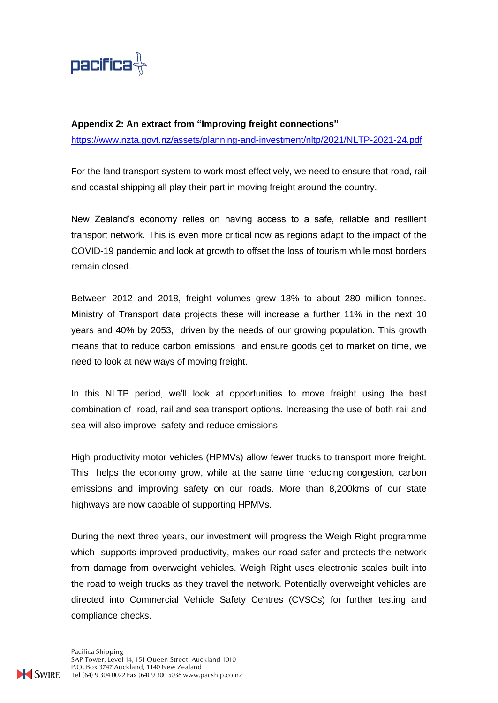

# **Appendix 2: An extract from "Improving freight connections"** <https://www.nzta.govt.nz/assets/planning-and-investment/nltp/2021/NLTP-2021-24.pdf>

For the land transport system to work most effectively, we need to ensure that road, rail and coastal shipping all play their part in moving freight around the country.

New Zealand's economy relies on having access to a safe, reliable and resilient transport network. This is even more critical now as regions adapt to the impact of the COVID-19 pandemic and look at growth to offset the loss of tourism while most borders remain closed.

Between 2012 and 2018, freight volumes grew 18% to about 280 million tonnes. Ministry of Transport data projects these will increase a further 11% in the next 10 years and 40% by 2053, driven by the needs of our growing population. This growth means that to reduce carbon emissions and ensure goods get to market on time, we need to look at new ways of moving freight.

In this NLTP period, we'll look at opportunities to move freight using the best combination of road, rail and sea transport options. Increasing the use of both rail and sea will also improve safety and reduce emissions.

High productivity motor vehicles (HPMVs) allow fewer trucks to transport more freight. This helps the economy grow, while at the same time reducing congestion, carbon emissions and improving safety on our roads. More than 8,200kms of our state highways are now capable of supporting HPMVs.

During the next three years, our investment will progress the Weigh Right programme which supports improved productivity, makes our road safer and protects the network from damage from overweight vehicles. Weigh Right uses electronic scales built into the road to weigh trucks as they travel the network. Potentially overweight vehicles are directed into Commercial Vehicle Safety Centres (CVSCs) for further testing and compliance checks.

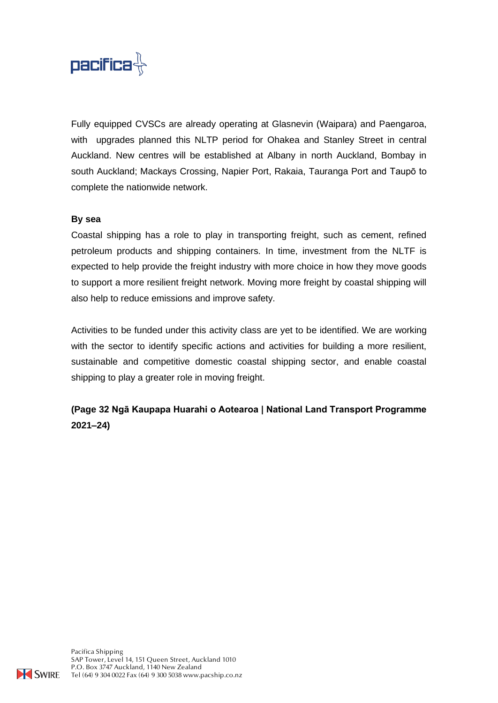

Fully equipped CVSCs are already operating at Glasnevin (Waipara) and Paengaroa, with upgrades planned this NLTP period for Ohakea and Stanley Street in central Auckland. New centres will be established at Albany in north Auckland, Bombay in south Auckland; Mackays Crossing, Napier Port, Rakaia, Tauranga Port and Taupō to complete the nationwide network.

### **By sea**

Coastal shipping has a role to play in transporting freight, such as cement, refined petroleum products and shipping containers. In time, investment from the NLTF is expected to help provide the freight industry with more choice in how they move goods to support a more resilient freight network. Moving more freight by coastal shipping will also help to reduce emissions and improve safety.

Activities to be funded under this activity class are yet to be identified. We are working with the sector to identify specific actions and activities for building a more resilient, sustainable and competitive domestic coastal shipping sector, and enable coastal shipping to play a greater role in moving freight.

**(Page 32 Ngā Kaupapa Huarahi o Aotearoa | National Land Transport Programme 2021–24)**